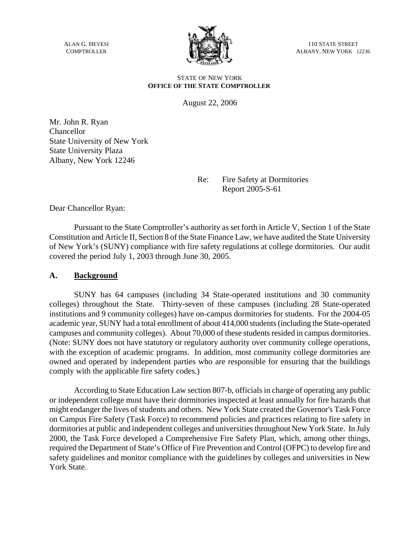ALAN G. HEVESI **COMPTROLLER** 



110 STATE STREET ALBANY, NEW YORK 12236

#### STATE OF NEW YORK **OFFICE OF THE STATE COMPTROLLER**

August 22, 2006

Mr. John R. Ryan Chancellor State University of New York State University Plaza Albany, New York 12246

> Re: Fire Safety at Dormitories Report 2005-S-61

Dear Chancellor Ryan:

Pursuant to the State Comptroller's authority as set forth in Article V, Section 1 of the State Constitution and Article II, Section 8 of the State Finance Law, we have audited the State University of New York's (SUNY) compliance with fire safety regulations at college dormitories. Our audit covered the period July 1, 2003 through June 30, 2005.

# **A. Background**

SUNY has 64 campuses (including 34 State-operated institutions and 30 community colleges) throughout the State. Thirty-seven of these campuses (including 28 State-operated institutions and 9 community colleges) have on-campus dormitories for students. For the 2004-05 academic year, SUNY had a total enrollment of about 414,000 students (including the State-operated campuses and community colleges). About 70,000 of these students resided in campus dormitories. (Note: SUNY does not have statutory or regulatory authority over community college operations, with the exception of academic programs. In addition, most community college dormitories are owned and operated by independent parties who are responsible for ensuring that the buildings comply with the applicable fire safety codes.)

According to State Education Law section 807-b, officials in charge of operating any public or independent college must have their dormitories inspected at least annually for fire hazards that might endanger the lives of students and others. New York State created the Governor's Task Force on Campus Fire Safety (Task Force) to recommend policies and practices relating to fire safety in dormitories at public and independent colleges and universities throughout New York State. In July 2000, the Task Force developed a Comprehensive Fire Safety Plan, which, among other things, required the Department of State's Office of Fire Prevention and Control (OFPC) to develop fire and safety guidelines and monitor compliance with the guidelines by colleges and universities in New York State.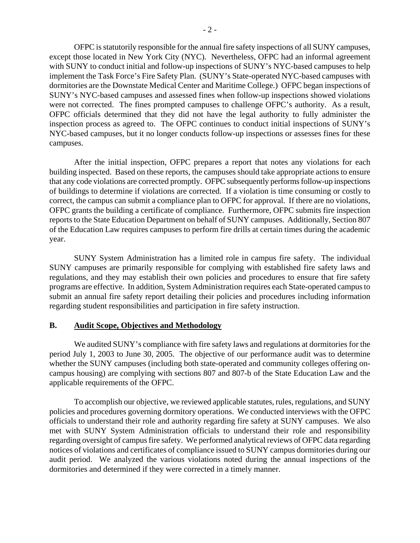OFPC is statutorily responsible for the annual fire safety inspections of all SUNY campuses, except those located in New York City (NYC). Nevertheless, OFPC had an informal agreement with SUNY to conduct initial and follow-up inspections of SUNY's NYC-based campuses to help implement the Task Force's Fire Safety Plan. (SUNY's State-operated NYC-based campuses with dormitories are the Downstate Medical Center and Maritime College.) OFPC began inspections of SUNY's NYC-based campuses and assessed fines when follow-up inspections showed violations were not corrected. The fines prompted campuses to challenge OFPC's authority. As a result, OFPC officials determined that they did not have the legal authority to fully administer the inspection process as agreed to. The OFPC continues to conduct initial inspections of SUNY's NYC-based campuses, but it no longer conducts follow-up inspections or assesses fines for these campuses.

After the initial inspection, OFPC prepares a report that notes any violations for each building inspected. Based on these reports, the campuses should take appropriate actions to ensure that any code violations are corrected promptly. OFPC subsequently performs follow-up inspections of buildings to determine if violations are corrected. If a violation is time consuming or costly to correct, the campus can submit a compliance plan to OFPC for approval. If there are no violations, OFPC grants the building a certificate of compliance. Furthermore, OFPC submits fire inspection reports to the State Education Department on behalf of SUNY campuses. Additionally, Section 807 of the Education Law requires campuses to perform fire drills at certain times during the academic year.

SUNY System Administration has a limited role in campus fire safety. The individual SUNY campuses are primarily responsible for complying with established fire safety laws and regulations, and they may establish their own policies and procedures to ensure that fire safety programs are effective. In addition, System Administration requires each State-operated campus to submit an annual fire safety report detailing their policies and procedures including information regarding student responsibilities and participation in fire safety instruction.

# **B. Audit Scope, Objectives and Methodology**

We audited SUNY's compliance with fire safety laws and regulations at dormitories for the period July 1, 2003 to June 30, 2005. The objective of our performance audit was to determine whether the SUNY campuses (including both state-operated and community colleges offering oncampus housing) are complying with sections 807 and 807-b of the State Education Law and the applicable requirements of the OFPC.

 To accomplish our objective, we reviewed applicable statutes, rules, regulations, and SUNY policies and procedures governing dormitory operations. We conducted interviews with the OFPC officials to understand their role and authority regarding fire safety at SUNY campuses. We also met with SUNY System Administration officials to understand their role and responsibility regarding oversight of campus fire safety. We performed analytical reviews of OFPC data regarding notices of violations and certificates of compliance issued to SUNY campus dormitories during our audit period. We analyzed the various violations noted during the annual inspections of the dormitories and determined if they were corrected in a timely manner.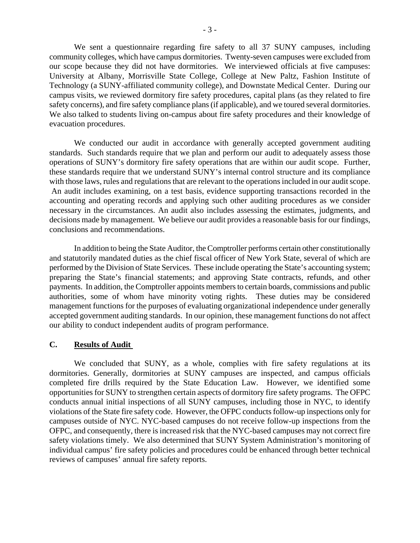We sent a questionnaire regarding fire safety to all 37 SUNY campuses, including community colleges, which have campus dormitories. Twenty-seven campuses were excluded from our scope because they did not have dormitories. We interviewed officials at five campuses: University at Albany, Morrisville State College, College at New Paltz, Fashion Institute of Technology (a SUNY-affiliated community college), and Downstate Medical Center. During our campus visits, we reviewed dormitory fire safety procedures, capital plans (as they related to fire safety concerns), and fire safety compliance plans (if applicable), and we toured several dormitories. We also talked to students living on-campus about fire safety procedures and their knowledge of evacuation procedures.

We conducted our audit in accordance with generally accepted government auditing standards. Such standards require that we plan and perform our audit to adequately assess those operations of SUNY's dormitory fire safety operations that are within our audit scope. Further, these standards require that we understand SUNY's internal control structure and its compliance with those laws, rules and regulations that are relevant to the operations included in our audit scope. An audit includes examining, on a test basis, evidence supporting transactions recorded in the accounting and operating records and applying such other auditing procedures as we consider necessary in the circumstances. An audit also includes assessing the estimates, judgments, and decisions made by management. We believe our audit provides a reasonable basis for our findings, conclusions and recommendations.

 In addition to being the State Auditor, the Comptroller performs certain other constitutionally and statutorily mandated duties as the chief fiscal officer of New York State, several of which are performed by the Division of State Services. These include operating the State's accounting system; preparing the State's financial statements; and approving State contracts, refunds, and other payments. In addition, the Comptroller appoints members to certain boards, commissions and public authorities, some of whom have minority voting rights. These duties may be considered management functions for the purposes of evaluating organizational independence under generally accepted government auditing standards. In our opinion, these management functions do not affect our ability to conduct independent audits of program performance.

# **C. Results of Audit**

We concluded that SUNY, as a whole, complies with fire safety regulations at its dormitories. Generally, dormitories at SUNY campuses are inspected, and campus officials completed fire drills required by the State Education Law. However, we identified some opportunities for SUNY to strengthen certain aspects of dormitory fire safety programs. The OFPC conducts annual initial inspections of all SUNY campuses, including those in NYC, to identify violations of the State fire safety code. However, the OFPC conducts follow-up inspections only for campuses outside of NYC. NYC-based campuses do not receive follow-up inspections from the OFPC, and consequently, there is increased risk that the NYC-based campuses may not correct fire safety violations timely. We also determined that SUNY System Administration's monitoring of individual campus' fire safety policies and procedures could be enhanced through better technical reviews of campuses' annual fire safety reports.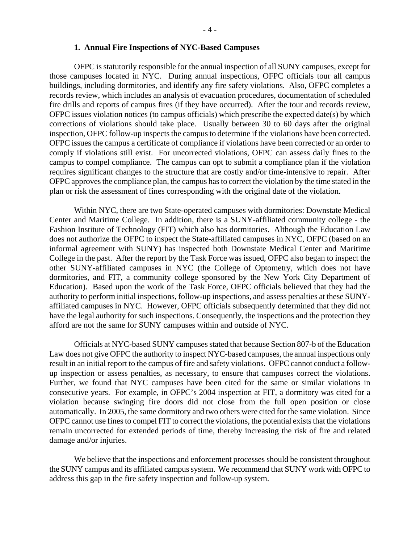#### **1. Annual Fire Inspections of NYC-Based Campuses**

OFPC is statutorily responsible for the annual inspection of all SUNY campuses, except for those campuses located in NYC. During annual inspections, OFPC officials tour all campus buildings, including dormitories, and identify any fire safety violations. Also, OFPC completes a records review, which includes an analysis of evacuation procedures, documentation of scheduled fire drills and reports of campus fires (if they have occurred). After the tour and records review, OFPC issues violation notices (to campus officials) which prescribe the expected date(s) by which corrections of violations should take place. Usually between 30 to 60 days after the original inspection, OFPC follow-up inspects the campus to determine if the violations have been corrected. OFPC issues the campus a certificate of compliance if violations have been corrected or an order to comply if violations still exist. For uncorrected violations, OFPC can assess daily fines to the campus to compel compliance. The campus can opt to submit a compliance plan if the violation requires significant changes to the structure that are costly and/or time-intensive to repair. After OFPC approves the compliance plan, the campus has to correct the violation by the time stated in the plan or risk the assessment of fines corresponding with the original date of the violation.

Within NYC, there are two State-operated campuses with dormitories: Downstate Medical Center and Maritime College. In addition, there is a SUNY-affiliated community college - the Fashion Institute of Technology (FIT) which also has dormitories. Although the Education Law does not authorize the OFPC to inspect the State-affiliated campuses in NYC, OFPC (based on an informal agreement with SUNY) has inspected both Downstate Medical Center and Maritime College in the past. After the report by the Task Force was issued, OFPC also began to inspect the other SUNY-affiliated campuses in NYC (the College of Optometry, which does not have dormitories, and FIT, a community college sponsored by the New York City Department of Education). Based upon the work of the Task Force, OFPC officials believed that they had the authority to perform initial inspections, follow-up inspections, and assess penalties at these SUNYaffiliated campuses in NYC. However, OFPC officials subsequently determined that they did not have the legal authority for such inspections. Consequently, the inspections and the protection they afford are not the same for SUNY campuses within and outside of NYC.

Officials at NYC-based SUNY campuses stated that because Section 807-b of the Education Law does not give OFPC the authority to inspect NYC-based campuses, the annual inspections only result in an initial report to the campus of fire and safety violations. OFPC cannot conduct a followup inspection or assess penalties, as necessary, to ensure that campuses correct the violations. Further, we found that NYC campuses have been cited for the same or similar violations in consecutive years. For example, in OFPC's 2004 inspection at FIT, a dormitory was cited for a violation because swinging fire doors did not close from the full open position or close automatically. In 2005, the same dormitory and two others were cited for the same violation. Since OFPC cannot use fines to compel FIT to correct the violations, the potential exists that the violations remain uncorrected for extended periods of time, thereby increasing the risk of fire and related damage and/or injuries.

We believe that the inspections and enforcement processes should be consistent throughout the SUNY campus and its affiliated campus system. We recommend that SUNY work with OFPC to address this gap in the fire safety inspection and follow-up system.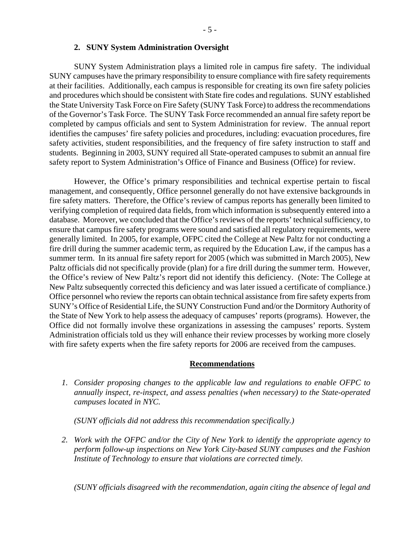SUNY System Administration plays a limited role in campus fire safety. The individual SUNY campuses have the primary responsibility to ensure compliance with fire safety requirements at their facilities. Additionally, each campus is responsible for creating its own fire safety policies and procedures which should be consistent with State fire codes and regulations. SUNY established the State University Task Force on Fire Safety (SUNY Task Force) to address the recommendations of the Governor's Task Force. The SUNY Task Force recommended an annual fire safety report be completed by campus officials and sent to System Administration for review. The annual report identifies the campuses' fire safety policies and procedures, including: evacuation procedures, fire safety activities, student responsibilities, and the frequency of fire safety instruction to staff and students. Beginning in 2003, SUNY required all State-operated campuses to submit an annual fire safety report to System Administration's Office of Finance and Business (Office) for review.

However, the Office's primary responsibilities and technical expertise pertain to fiscal management, and consequently, Office personnel generally do not have extensive backgrounds in fire safety matters. Therefore, the Office's review of campus reports has generally been limited to verifying completion of required data fields, from which information is subsequently entered into a database. Moreover, we concluded that the Office's reviews of the reports' technical sufficiency, to ensure that campus fire safety programs were sound and satisfied all regulatory requirements, were generally limited. In 2005, for example, OFPC cited the College at New Paltz for not conducting a fire drill during the summer academic term, as required by the Education Law, if the campus has a summer term. In its annual fire safety report for 2005 (which was submitted in March 2005), New Paltz officials did not specifically provide (plan) for a fire drill during the summer term. However, the Office's review of New Paltz's report did not identify this deficiency. (Note: The College at New Paltz subsequently corrected this deficiency and was later issued a certificate of compliance.) Office personnel who review the reports can obtain technical assistance from fire safety experts from SUNY's Office of Residential Life, the SUNY Construction Fund and/or the Dormitory Authority of the State of New York to help assess the adequacy of campuses' reports (programs). However, the Office did not formally involve these organizations in assessing the campuses' reports. System Administration officials told us they will enhance their review processes by working more closely with fire safety experts when the fire safety reports for 2006 are received from the campuses.

#### **Recommendations**

*1. Consider proposing changes to the applicable law and regulations to enable OFPC to annually inspect, re-inspect, and assess penalties (when necessary) to the State-operated campuses located in NYC.* 

*(SUNY officials did not address this recommendation specifically.)* 

*2. Work with the OFPC and/or the City of New York to identify the appropriate agency to perform follow-up inspections on New York City-based SUNY campuses and the Fashion Institute of Technology to ensure that violations are corrected timely.* 

*(SUNY officials disagreed with the recommendation, again citing the absence of legal and*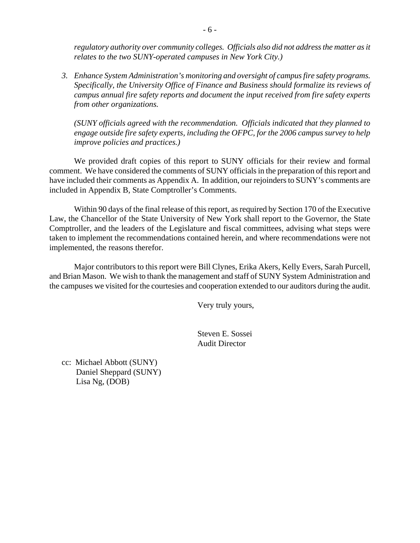*regulatory authority over community colleges. Officials also did not address the matter as it relates to the two SUNY-operated campuses in New York City.)* 

*3. Enhance System Administration's monitoring and oversight of campus fire safety programs. Specifically, the University Office of Finance and Business should formalize its reviews of campus annual fire safety reports and document the input received from fire safety experts from other organizations.* 

*(SUNY officials agreed with the recommendation. Officials indicated that they planned to engage outside fire safety experts, including the OFPC, for the 2006 campus survey to help improve policies and practices.)* 

We provided draft copies of this report to SUNY officials for their review and formal comment. We have considered the comments of SUNY officials in the preparation of this report and have included their comments as Appendix A. In addition, our rejoinders to SUNY's comments are included in Appendix B, State Comptroller's Comments.

Within 90 days of the final release of this report, as required by Section 170 of the Executive Law, the Chancellor of the State University of New York shall report to the Governor, the State Comptroller, and the leaders of the Legislature and fiscal committees, advising what steps were taken to implement the recommendations contained herein, and where recommendations were not implemented, the reasons therefor.

Major contributors to this report were Bill Clynes, Erika Akers, Kelly Evers, Sarah Purcell, and Brian Mason. We wish to thank the management and staff of SUNY System Administration and the campuses we visited for the courtesies and cooperation extended to our auditors during the audit.

Very truly yours,

 Steven E. Sossei Audit Director

cc: Michael Abbott (SUNY) Daniel Sheppard (SUNY) Lisa Ng, (DOB)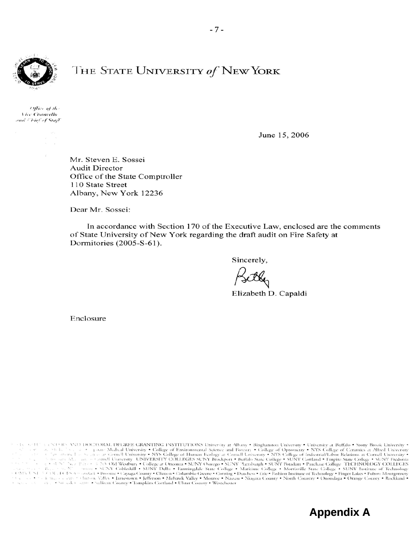

# THE STATE UNIVERSITY of NEW YORK

Office of the Vice Chancello and Chief of Start

June 15, 2006

Mr. Steven E. Sossei **Audit Director** Office of the State Comptroller 110 State Street Albany, New York 12236

Dear Mr. Sossei:

In accordance with Section 170 of the Executive Law, enclosed are the comments of State University of New York regarding the draft audit on Fire Safety at Dormitories (2005-S-61).

Sincerely,

Elizabeth D. Capaldi

**Appendix A** 

Enclosure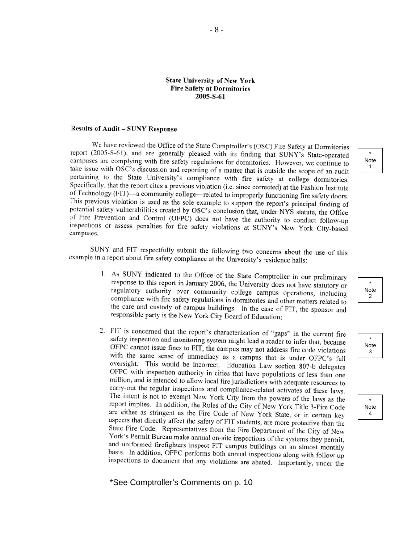#### **State University of New York Fire Safety at Dormitories** 2005-S-61

#### **Results of Audit - SUNY Response**

We have reviewed the Office of the State Comptroller's (OSC) Fire Safety at Dormitories report (2005-S-61), and are generally pleased with its finding that SUNY's State-operated campuses are complying with fire safety regulations for dormitories. However, we continue to take issue with OSC's discussion and reporting of a matter that is outside the scope of an audit pertaining to the State University's compliance with fire safety at college dormitories. Specifically, that the report cites a previous violation (i.e. since corrected) at the Fashion Institute of Technology (FIT)—a community college—related to improperly functioning fire safety doors. This previous violation is used as the sole example to support the report's principal finding of potential safety vulnerabilities created by OSC's conclusion that, under NYS statute, the Office of Fire Prevention and Control (OFPC) does not have the authority to conduct follow-up inspections or assess penalties for fire safety violations at SUNY's New York City-based campuses.

SUNY and FIT respectfully submit the following two concerns about the use of this example in a report about fire safety compliance at the University's residence halls:

- 1. As SUNY indicated to the Office of the State Comptroller in our preliminary response to this report in January 2006, the University does not have statutory or regulatory authority over community college campus operations, including compliance with fire safety regulations in dormitories and other matters related to the care and custody of campus buildings. In the case of FIT, the sponsor and responsible party is the New York City Board of Education;
- 2. FIT is concerned that the report's characterization of "gaps" in the current fire safety inspection and monitoring system might lead a reader to infer that, because OFPC cannot issue fines to FIT, the campus may not address fire code violations with the same sense of immediacy as a campus that is under OFPC's full oversight. This would be incorrect. Education Law section 807-b delegates OFPC with inspection authority in cities that have populations of less than one million, and is intended to allow local fire jurisdictions with adequate resources to carry-out the regular inspections and compliance-related activates of these laws. The intent is not to exempt New York City from the powers of the laws as the report implies. In addition, the Rules of the City of New York Title 3-Fire Code are either as stringent as the Fire Code of New York State, or in certain key aspects that directly affect the safety of FIT students, are more protective than the State Fire Code. Representatives from the Fire Department of the City of New York's Permit Bureau make annual on-site inspections of the systems they permit, and uniformed firefighters inspect FIT campus buildings on an almost monthly basis. In addition, OFFC performs both annual inspections along with follow-up inspections to document that any violations are abated. Importantly, under the

\*See Comptroller's Comments on p. 10

\* Note 1



\* Note 3

\* Note 4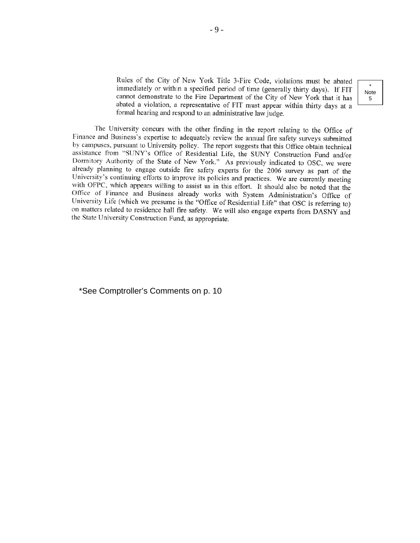Rules of the City of New York Title 3-Fire Code, violations must be abated immediately or within a specified period of time (generally thirty days). If FIT cannot demonstrate to the Fire Department of the City of New York that it has abated a violation, a representative of FIT must appear within thirty days at a formal hearing and respond to an administrative law judge.

\* Note 5

The University concurs with the other finding in the report relating to the Office of Finance and Business's expertise to adequately review the annual fire safety surveys submitted by campuses, pursuant to University policy. The report suggests that this Office obtain technical assistance from "SUNY's Office of Residential Life, the SUNY Construction Fund and/or Dormitory Authority of the State of New York." As previously indicated to OSC, we were already planning to engage outside fire safety experts for the 2006 survey as part of the University's continuing efforts to improve its policies and practices. We are currently meeting with OFPC, which appears willing to assist us in this effort. It should also be noted that the Office of Finance and Business already works with System Administration's Office of University Life (which we presume is the "Office of Residential Life" that OSC is referring to) on matters related to residence hall fire safety. We will also engage experts from DASNY and the State University Construction Fund, as appropriate.

\*See Comptroller's Comments on p. 10